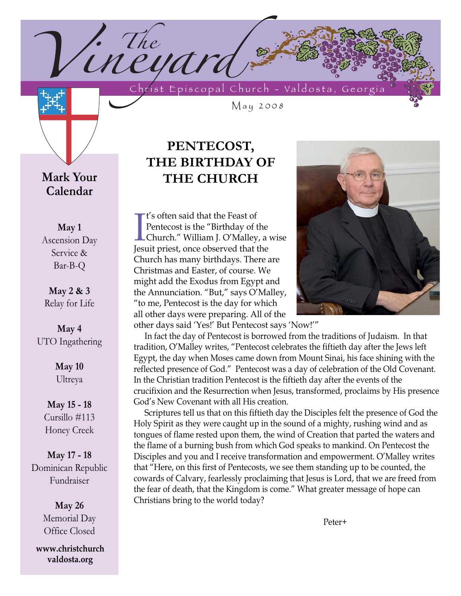Christ Episcopal Church - Valdosta, Georgia

May 2008

**Mark Your Calendar**

**May 1** Ascension Day Service & Bar-B-Q

**May 2 & 3** Relay for Life

**May 4** UTO Ingathering

> **May 10** Ultreya

**May 15 - 18** Cursillo #113 Honey Creek

**May 17 - 18** Dominican Republic Fundraiser

> **May 26** Memorial Day Office Closed

**www.christchurch valdosta.org**

# **PENTECOST, THE BIRTHDAY OF THE CHURCH**

<sup>1</sup>ineyard

If s often said that the Feast of<br>Pentecost is the "Birthday of the<br>Church." William J. O'Malley, a<br>Jesuit priest, once observed that the t's often said that the Feast of Pentecost is the "Birthday of the Church." William J. O'Malley, a wise Church has many birthdays. There are Christmas and Easter, of course. We might add the Exodus from Egypt and the Annunciation. "But," says O'Malley, "to me, Pentecost is the day for which all other days were preparing. All of the other days said 'Yes!' But Pentecost says 'Now!'"

In fact the day of Pentecost is borrowed from the traditions of Judaism. In that tradition, O'Malley writes, "Pentecost celebrates the fiftieth day after the Jews left Egypt, the day when Moses came down from Mount Sinai, his face shining with the reflected presence of God." Pentecost was a day of celebration of the Old Covenant. In the Christian tradition Pentecost is the fiftieth day after the events of the crucifixion and the Resurrection when Jesus, transformed, proclaims by His presence God's New Covenant with all His creation.

Scriptures tell us that on this fiftieth day the Disciples felt the presence of God the Holy Spirit as they were caught up in the sound of a mighty, rushing wind and as tongues of flame rested upon them, the wind of Creation that parted the waters and the flame of a burning bush from which God speaks to mankind. On Pentecost the Disciples and you and I receive transformation and empowerment. O'Malley writes that "Here, on this first of Pentecosts, we see them standing up to be counted, the cowards of Calvary, fearlessly proclaiming that Jesus is Lord, that we are freed from the fear of death, that the Kingdom is come." What greater message of hope can Christians bring to the world today?

Peter+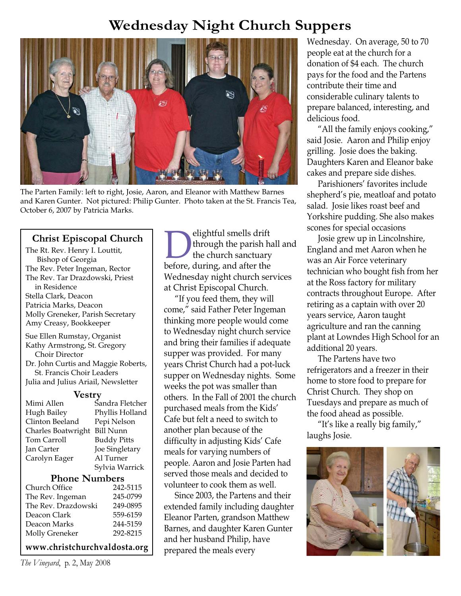# **Wednesday Night Church Suppers**



The Parten Family: left to right, Josie, Aaron, and Eleanor with Matthew Barnes and Karen Gunter. Not pictured: Philip Gunter. Photo taken at the St. Francis Tea, October 6, 2007 by Patricia Marks.

## **Christ Episcopal Church**

The Rt. Rev. Henry I. Louttit,

| Bishop of Georgia                      |                    |  |  |
|----------------------------------------|--------------------|--|--|
| The Rev. Peter Ingeman, Rector         |                    |  |  |
| The Rev. Tar Drazdowski, Priest        |                    |  |  |
| in Residence                           |                    |  |  |
| Stella Clark, Deacon                   |                    |  |  |
| Patricia Marks, Deacon                 |                    |  |  |
| Molly Greneker, Parish Secretary       |                    |  |  |
| Amy Creasy, Bookkeeper                 |                    |  |  |
| Sue Ellen Rumstay, Organist            |                    |  |  |
| Kathy Armstrong, St. Gregory           |                    |  |  |
| Choir Director                         |                    |  |  |
| Dr. John Curtis and Maggie Roberts,    |                    |  |  |
| St. Francis Choir Leaders              |                    |  |  |
| Julia and Julius Ariail, Newsletter    |                    |  |  |
| <b>Vestry</b>                          |                    |  |  |
| Mimi Allen                             | Sandra Fletcher    |  |  |
| Hugh Bailey                            | Phyllis Holland    |  |  |
| Clinton Beeland                        | Pepi Nelson        |  |  |
| <b>Bill Nunn</b><br>Charles Boatwright |                    |  |  |
| Tom Carroll                            | <b>Buddy Pitts</b> |  |  |
| Jan Carter                             | Joe Singletary     |  |  |
| Carolyn Eager                          | Al Turner          |  |  |
|                                        | Sylvia Warrick     |  |  |
| <b>Phone Numbers</b>                   |                    |  |  |
| Church Office                          | 242-5115           |  |  |
| The Rev. Ingeman                       | 245-0799           |  |  |
| The Rev. Drazdowski                    | 249-0895           |  |  |
| Deacon Clark                           | 559-6159           |  |  |
| Deacon Marks                           | 244-5159           |  |  |
| <b>Molly Greneker</b>                  | 292-8215           |  |  |

### **www.christchurchvaldosta.org**

*The Vineyard*, p. 2, May 2008

**Delightful smells drift**<br>the church sanctuary<br>before, during, and after the through the parish hall and the church sanctuary Wednesday night church services at Christ Episcopal Church.

"If you feed them, they will come," said Father Peter Ingeman thinking more people would come to Wednesday night church service and bring their families if adequate supper was provided. For many years Christ Church had a pot-luck supper on Wednesday nights. Some weeks the pot was smaller than others. In the Fall of 2001 the church purchased meals from the Kids' Cafe but felt a need to switch to another plan because of the difficulty in adjusting Kids' Cafe meals for varying numbers of people. Aaron and Josie Parten had served those meals and decided to volunteer to cook them as well.

Since 2003, the Partens and their extended family including daughter Eleanor Parten, grandson Matthew Barnes, and daughter Karen Gunter and her husband Philip, have prepared the meals every

Wednesday. On average, 50 to 70 people eat at the church for a donation of \$4 each. The church pays for the food and the Partens contribute their time and considerable culinary talents to prepare balanced, interesting, and delicious food.

"All the family enjoys cooking," said Josie. Aaron and Philip enjoy grilling. Josie does the baking. Daughters Karen and Eleanor bake cakes and prepare side dishes.

Parishioners' favorites include shepherd's pie, meatloaf and potato salad. Josie likes roast beef and Yorkshire pudding. She also makes scones for special occasions

Josie grew up in Lincolnshire, England and met Aaron when he was an Air Force veterinary technician who bought fish from her at the Ross factory for military contracts throughout Europe. After retiring as a captain with over 20 years service, Aaron taught agriculture and ran the canning plant at Lowndes High School for an additional 20 years.

The Partens have two refrigerators and a freezer in their home to store food to prepare for Christ Church. They shop on Tuesdays and prepare as much of the food ahead as possible.

"It's like a really big family," laughs Josie.

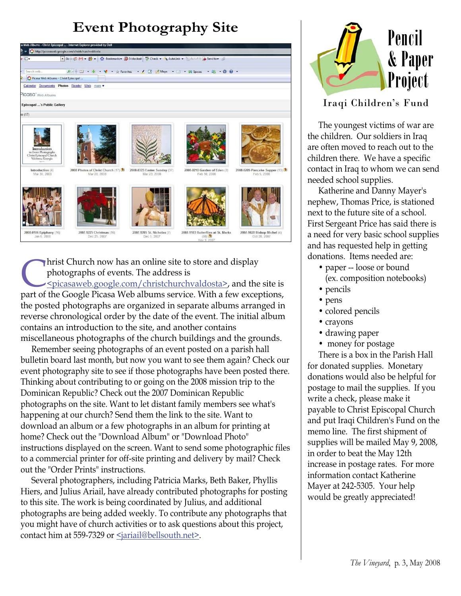

**Christ Church now has an online site to store and display<br>
photographs of events. The address is<br>
<u>Spicasaweb.google.com/christchurchvaldosta></u>, and the<br>
part of the Google Picasa Web albums service. With a few exce** photographs of events. The address is <picasaweb.google.com/christchurchvaldosta>, and the site is part of the Google Picasa Web albums service. With a few exceptions, the posted photographs are organized in separate albums arranged in reverse chronological order by the date of the event. The initial album contains an introduction to the site, and another contains miscellaneous photographs of the church buildings and the grounds.

Remember seeing photographs of an event posted on a parish hall bulletin board last month, but now you want to see them again? Check our event photography site to see if those photographs have been posted there. Thinking about contributing to or going on the 2008 mission trip to the Dominican Republic? Check out the 2007 Dominican Republic photographs on the site. Want to let distant family members see what's happening at our church? Send them the link to the site. Want to download an album or a few photographs in an album for printing at home? Check out the "Download Album" or "Download Photo" instructions displayed on the screen. Want to send some photographic files to a commercial printer for off-site printing and delivery by mail? Check out the "Order Prints" instructions.

Several photographers, including Patricia Marks, Beth Baker, Phyllis Hiers, and Julius Ariail, have already contributed photographs for posting to this site. The work is being coordinated by Julius, and additional photographs are being added weekly. To contribute any photographs that you might have of church activities or to ask questions about this project, contact him at 559-7329 or <jariail@bellsouth.net>.



## Iraqi Children's Fund

The youngest victims of war are the children. Our soldiers in Iraq are often moved to reach out to the children there. We have a specific contact in Iraq to whom we can send needed school supplies.

Katherine and Danny Mayer's nephew, Thomas Price, is stationed next to the future site of a school. First Sergeant Price has said there is a need for very basic school supplies and has requested help in getting donations. Items needed are:

- paper -- loose or bound (ex. composition notebooks)
- pencils
- pens
- colored pencils
- crayons
- drawing paper
- money for postage

There is a box in the Parish Hall for donated supplies. Monetary donations would also be helpful for postage to mail the supplies. If you write a check, please make it payable to Christ Episcopal Church and put Iraqi Children's Fund on the memo line. The first shipment of supplies will be mailed May 9, 2008, in order to beat the May 12th increase in postage rates. For more information contact Katherine Mayer at 242-5305. Your help would be greatly appreciated!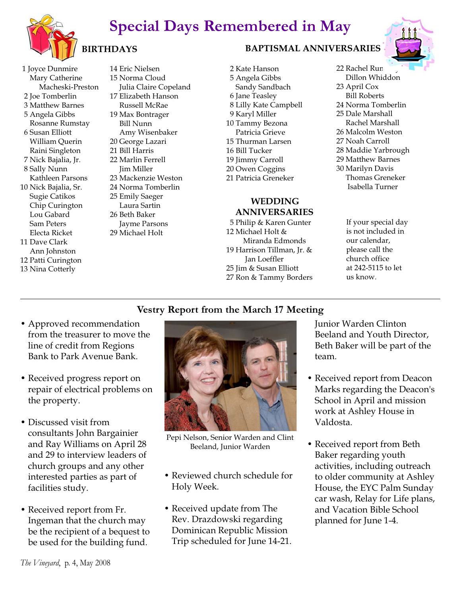# **Special Days Remembered in May**



# **BIRTHDAYS**

1 Joyce Dunmire Mary Catherine Macheski-Preston 2 Joe Tomberlin 3 Matthew Barnes 5 Angela Gibbs Rosanne Rumstay 6 Susan Elliott William Querin Raini Singleton 7 Nick Bajalia, Jr. 8 Sally Nunn Kathleen Parsons 10 Nick Bajalia, Sr. Sugie Catikos Chip Curington Lou Gabard Sam Peters Electa Ricket 11 Dave Clark Ann Johnston 12 Patti Curington 13 Nina Cotterly

14 Eric Nielsen 15 Norma Cloud Julia Claire Copeland 17 Elizabeth Hanson Russell McRae 19 Max Bontrager Bill Nunn Amy Wisenbaker 20 George Lazari 21 Bill Harris 22 Marlin Ferrell Jim Miller 23 Mackenzie Weston 24 Norma Tomberlin 25 Emily Saeger Laura Sartin 26 Beth Baker Jayme Parsons 29 Michael Holt

## **BAPTISMAL ANNIVERSARIES**

2 Kate Hanson 5 Angela Gibbs Sandy Sandbach 6 Jane Teasley 8 Lilly Kate Campbell 9 Karyl Miller 10 Tammy Bezona Patricia Grieve 15 Thurman Larsen 16 Bill Tucker 19 Jimmy Carroll 20 Owen Coggins 21 Patricia Greneker

## **WEDDING ANNIVERSARIES**

5 Philip & Karen Gunter 12 Michael Holt & Miranda Edmonds 19 Harrison Tillman, Jr. & Jan Loeffler 25 Jim & Susan Elliott 27 Ron & Tammy Borders 22 Rachel Run Dillon Whiddon 23 April Cox Bill Roberts 24 Norma Tomberlin 25 Dale Marshall Rachel Marshall 26 Malcolm Weston 27 Noah Carroll 28 Maddie Yarbrough 29 Matthew Barnes 30 Marilyn Davis Thomas Greneker Isabella Turner

> If your special day is not included in our calendar, please call the church office at 242-5115 to let us know.

## **Vestry Report from the March 17 Meeting**

- Approved recommendation from the treasurer to move the line of credit from Regions Bank to Park Avenue Bank.
- Received progress report on repair of electrical problems on the property.
- Discussed visit from consultants John Bargainier and Ray Williams on April 28 and 29 to interview leaders of church groups and any other interested parties as part of facilities study.
- Received report from Fr. Ingeman that the church may be the recipient of a bequest to be used for the building fund.



Pepi Nelson, Senior Warden and Clint Beeland, Junior Warden

- Reviewed church schedule for Holy Week.
- Received update from The Rev. Drazdowski regarding Dominican Republic Mission Trip scheduled for June 14-21.

Junior Warden Clinton Beeland and Youth Director, Beth Baker will be part of the team.

- Received report from Deacon Marks regarding the Deacon's School in April and mission work at Ashley House in Valdosta.
- Received report from Beth Baker regarding youth activities, including outreach to older community at Ashley House, the EYC Palm Sunday car wash, Relay for Life plans, and Vacation Bible School planned for June 1-4.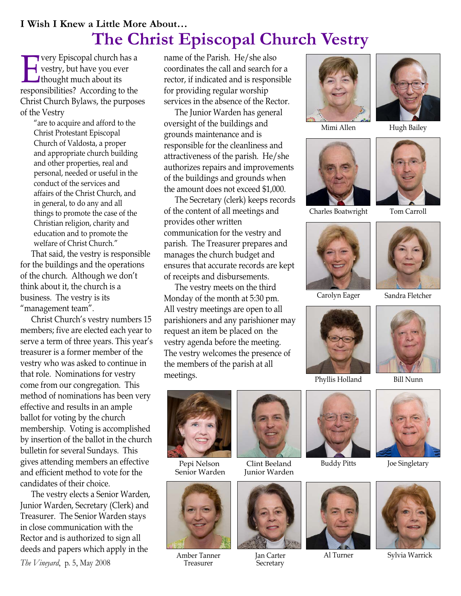# **I Wish I Knew a Little More About… The Christ Episcopal Church Vestry**

**EVERT** very Episcopal church has a<br>
responsibilities? According to the vestry, but have you ever thought much about its responsibilities? According to the Christ Church Bylaws, the purposes of the Vestry

> "are to acquire and afford to the Christ Protestant Episcopal Church of Valdosta, a proper and appropriate church building and other properties, real and personal, needed or useful in the conduct of the services and affairs of the Christ Church, and in general, to do any and all things to promote the case of the Christian religion, charity and education and to promote the welfare of Christ Church."

That said, the vestry is responsible for the buildings and the operations of the church. Although we don't think about it, the church is a business. The vestry is its "management team".

Christ Church's vestry numbers 15 members; five are elected each year to serve a term of three years. This year's treasurer is a former member of the vestry who was asked to continue in that role. Nominations for vestry come from our congregation. This method of nominations has been very effective and results in an ample ballot for voting by the church membership. Voting is accomplished by insertion of the ballot in the church bulletin for several Sundays. This gives attending members an effective and efficient method to vote for the candidates of their choice.

The vestry elects a Senior Warden, Junior Warden, Secretary (Clerk) and Treasurer. The Senior Warden stays in close communication with the Rector and is authorized to sign all deeds and papers which apply in the

*The Vineyard*, p. 5, May 2008

name of the Parish. He/she also coordinates the call and search for a rector, if indicated and is responsible for providing regular worship services in the absence of the Rector.

The Junior Warden has general oversight of the buildings and grounds maintenance and is responsible for the cleanliness and attractiveness of the parish. He/she authorizes repairs and improvements of the buildings and grounds when the amount does not exceed \$1,000.

The Secretary (clerk) keeps records of the content of all meetings and provides other written communication for the vestry and parish. The Treasurer prepares and manages the church budget and ensures that accurate records are kept of receipts and disbursements.

The vestry meets on the third Monday of the month at 5:30 pm. All vestry meetings are open to all parishioners and any parishioner may request an item be placed on the vestry agenda before the meeting. The vestry welcomes the presence of the members of the parish at all meetings.



Mimi Allen Hugh Bailey













Phyllis Holland Bill Nunn





Pepi Nelson Senior Warden



Amber Tanner Treasurer



Clint Beeland Junior Warden



Jan Carter **Secretary** 









Al Turner Sylvia Warrick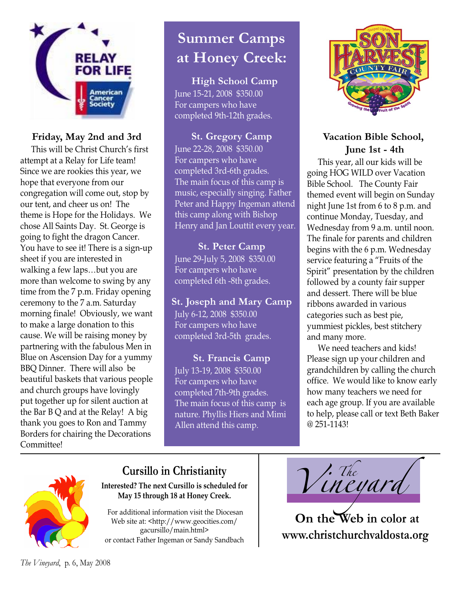

## **Friday, May 2nd and 3rd**

This will be Christ Church's first attempt at a Relay for Life team! Since we are rookies this year, we hope that everyone from our congregation will come out, stop by our tent, and cheer us on! The theme is Hope for the Holidays. We chose All Saints Day. St. George is going to fight the dragon Cancer. You have to see it! There is a sign-up sheet if you are interested in walking a few laps…but you are more than welcome to swing by any time from the 7 p.m. Friday opening ceremony to the 7 a.m. Saturday morning finale! Obviously, we want to make a large donation to this cause. We will be raising money by partnering with the fabulous Men in Blue on Ascension Day for a yummy BBQ Dinner. There will also be beautiful baskets that various people and church groups have lovingly put together up for silent auction at the Bar B Q and at the Relay! A big thank you goes to Ron and Tammy Borders for chairing the Decorations Committee!

# **Summer Camps at Honey Creek:**

**High School Camp** June 15-21, 2008 \$350.00 For campers who have completed 9th-12th grades.

**St. Gregory Camp** June 22-28, 2008 \$350.00 For campers who have completed 3rd-6th grades. The main focus of this camp is music, especially singing. Father Peter and Happy Ingeman attend this camp along with Bishop Henry and Jan Louttit every year.

**St. Peter Camp** June 29-July 5, 2008 \$350.00 For campers who have completed 6th -8th grades.

**St. Joseph and Mary Camp** July 6-12, 2008 \$350.00 For campers who have completed 3rd-5th grades.

**St. Francis Camp** July 13-19, 2008 \$350.00 For campers who have completed 7th-9th grades. The main focus of this camp is nature. Phyllis Hiers and Mimi Allen attend this camp.



## **Vacation Bible School, June 1st - 4th**

This year, all our kids will be going HOG WILD over Vacation Bible School. The County Fair themed event will begin on Sunday night June 1st from 6 to 8 p.m. and continue Monday, Tuesday, and Wednesday from 9 a.m. until noon. The finale for parents and children begins with the 6 p.m. Wednesday service featuring a "Fruits of the Spirit" presentation by the children followed by a county fair supper and dessert. There will be blue ribbons awarded in various categories such as best pie, yummiest pickles, best stitchery and many more.

We need teachers and kids! Please sign up your children and grandchildren by calling the church office. We would like to know early how many teachers we need for each age group. If you are available to help, please call or text Beth Baker @ 251-1143!



**Interested? The next Cursillo is scheduled for May 15 through 18 at Honey Creek.**

For additional information visit the Diocesan Web site at: <http://www.geocities.com/ gacursillo/main.html> or contact Father Ingeman or Sandy Sandbach

Cursillo in Christianity<br>
Sted? The next Cursillo is scheduled for<br>
May 15 through 18 at Honey Creek.

**On the Web in color at www.christchurchvaldosta.org**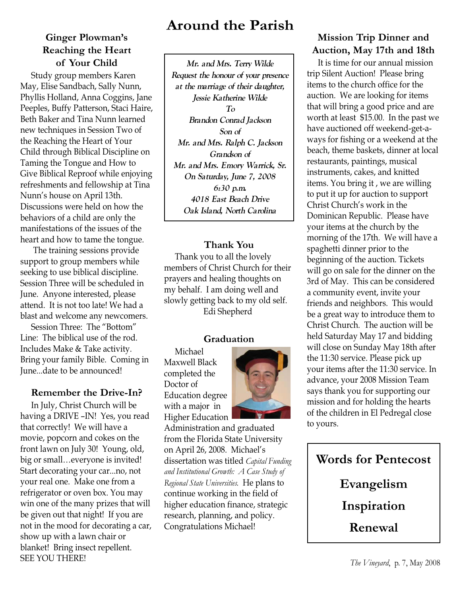## **Ginger Plowman's Reaching the Heart of Your Child**

Study group members Karen May, Elise Sandbach, Sally Nunn, Phyllis Holland, Anna Coggins, Jane Peeples, Buffy Patterson, Staci Haire, Beth Baker and Tina Nunn learned new techniques in Session Two of the Reaching the Heart of Your Child through Biblical Discipline on Taming the Tongue and How to Give Biblical Reproof while enjoying refreshments and fellowship at Tina Nunn's house on April 13th. Discussions were held on how the behaviors of a child are only the manifestations of the issues of the heart and how to tame the tongue.

The training sessions provide support to group members while seeking to use biblical discipline. Session Three will be scheduled in June. Anyone interested, please attend. It is not too late! We had a blast and welcome any newcomers.

Session Three: The "Bottom" Line: The biblical use of the rod. Includes Make & Take activity. Bring your family Bible. Coming in June...date to be announced!

## **Remember the Drive-In?**

In July, Christ Church will be having a DRIVE –IN! Yes, you read that correctly! We will have a movie, popcorn and cokes on the front lawn on July 30! Young, old, big or small…everyone is invited! Start decorating your car...no, not your real one. Make one from a refrigerator or oven box. You may win one of the many prizes that will be given out that night! If you are not in the mood for decorating a car, show up with a lawn chair or blanket! Bring insect repellent. SEE YOU THERE!

# **Around the Parish**

**Mr. and Mrs. Terry Wilde Request the honour of your presence at the marriage of their daughter, Jessie Katherine Wilde To Brandon Conrad Jackson Son of Mr. and Mrs. Ralph C. Jackson Grandson of Mr. and Mrs. Emory Warrick, Sr. On Saturday, June 7, 2008 6:30 p.m. 4018 East Beach Drive Oak Island, North Carolina**

## **Thank You**

Thank you to all the lovely members of Christ Church for their prayers and healing thoughts on my behalf. I am doing well and slowly getting back to my old self. Edi Shepherd

### **Graduation**

Michael Maxwell Black completed the Doctor of Education degree with a major in Higher Education



Administration and graduated from the Florida State University on April 26, 2008. Michael's dissertation was titled *Capital Funding and Institutional Growth: A Case Study of Regional State Universities.* He plans to continue working in the field of higher education finance, strategic research, planning, and policy. Congratulations Michael!

## **Mission Trip Dinner and Auction, May 17th and 18th**

It is time for our annual mission trip Silent Auction! Please bring items to the church office for the auction. We are looking for items that will bring a good price and are worth at least \$15.00. In the past we have auctioned off weekend-get-aways for fishing or a weekend at the beach, theme baskets, dinner at local restaurants, paintings, musical instruments, cakes, and knitted items. You bring it , we are willing to put it up for auction to support Christ Church's work in the Dominican Republic. Please have your items at the church by the morning of the 17th. We will have a spaghetti dinner prior to the beginning of the auction. Tickets will go on sale for the dinner on the 3rd of May. This can be considered a community event, invite your friends and neighbors. This would be a great way to introduce them to Christ Church. The auction will be held Saturday May 17 and bidding will close on Sunday May 18th after the 11:30 service. Please pick up your items after the 11:30 service. In advance, your 2008 Mission Team says thank you for supporting our mission and for holding the hearts of the children in El Pedregal close to yours.